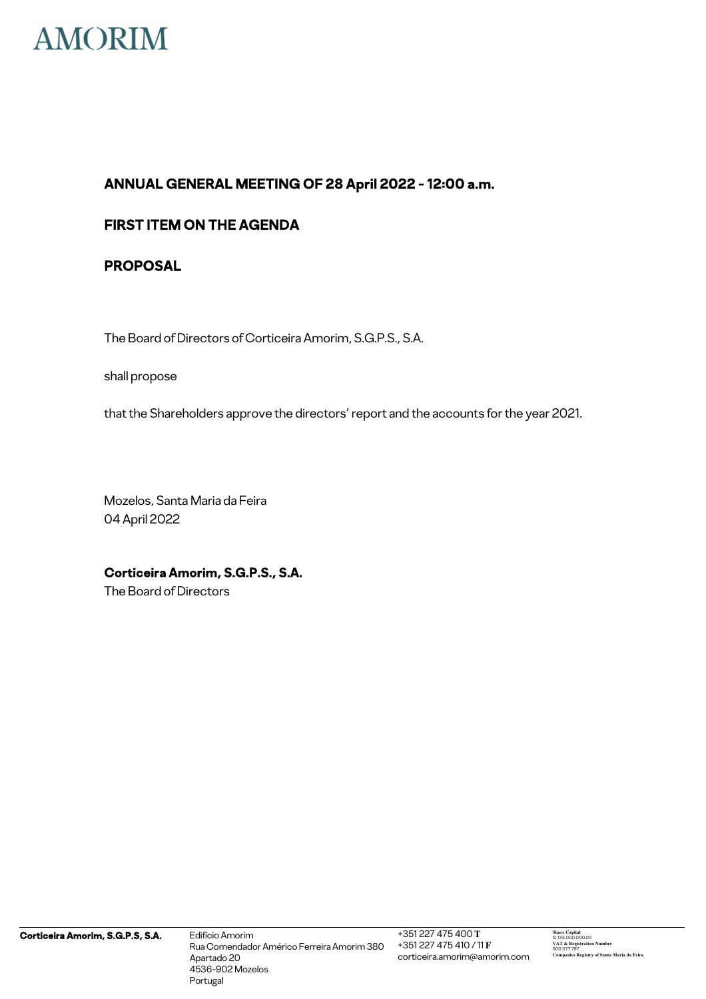

## **FIRST ITEM ON THE AGENDA**

## **PROPOSAL**

The Board of Directors of Corticeira Amorim, S.G.P.S., S.A.

shall propose

that the Shareholders approve the directors' report and the accounts for the year 2021.

Mozelos, Santa Maria da Feira 04 April 2022

**Corticeira Amorim, S.G.P.S., S.A.**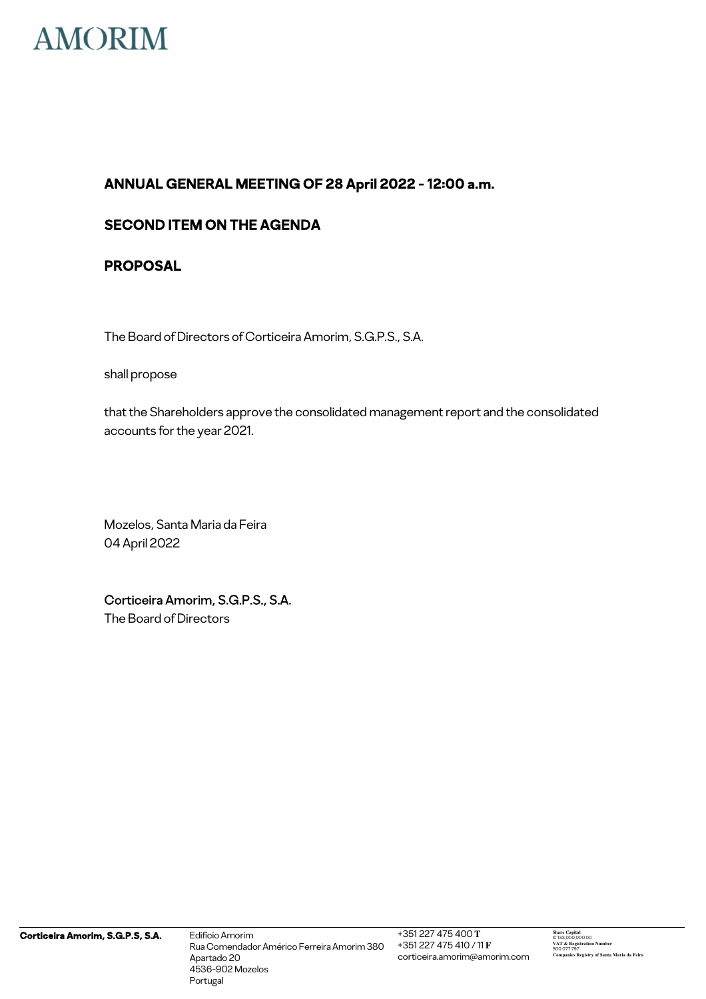

## **SECOND ITEM ON THE AGENDA**

## **PROPOSAL**

The Board of Directors of Corticeira Amorim, S.G.P.S., S.A.

shall propose

that the Shareholders approve the consolidated management report and the consolidated accounts for the year 2021.

Mozelos, Santa Maria da Feira 04 April 2022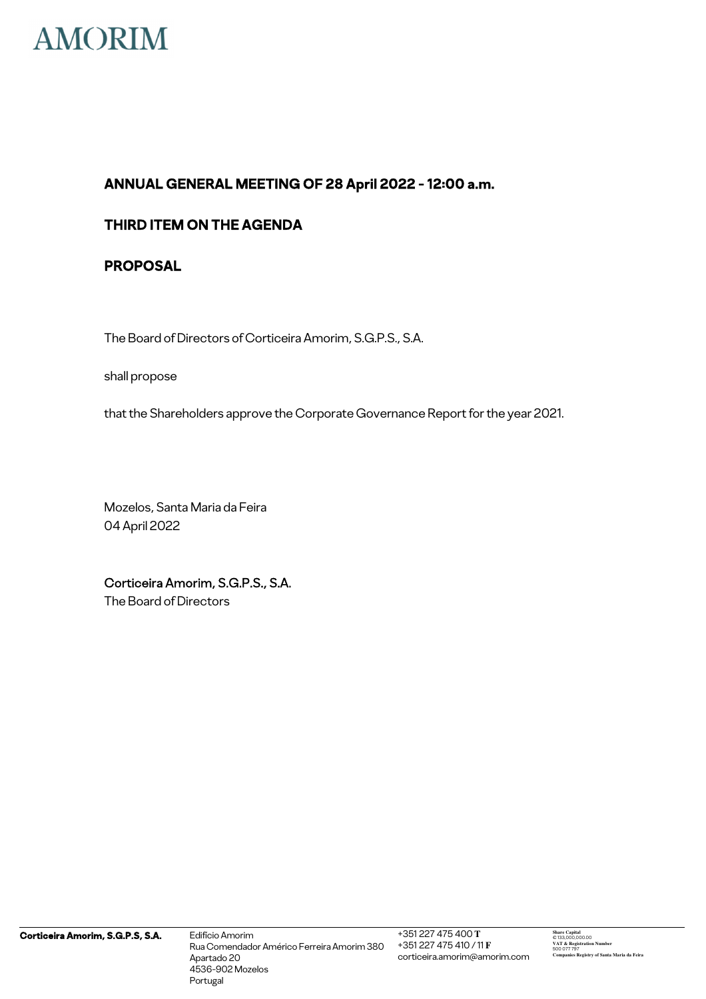

## **THIRD ITEM ON THE AGENDA**

## **PROPOSAL**

The Board of Directors of Corticeira Amorim, S.G.P.S., S.A.

shall propose

that the Shareholders approve the Corporate Governance Report for the year 2021.

Mozelos, Santa Maria da Feira 04 April 2022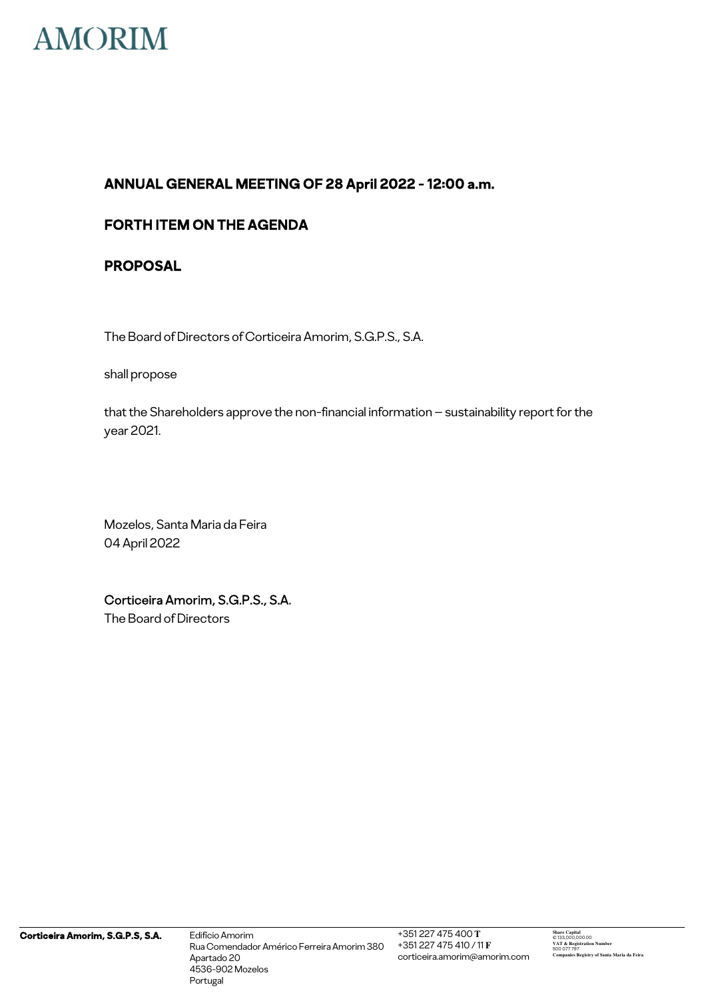

## **FORTH ITEM ON THE AGENDA**

## **PROPOSAL**

The Board of Directors of Corticeira Amorim, S.G.P.S., S.A.

shall propose

that the Shareholders approve the non-financial information – sustainability report for the year 2021.

Mozelos, Santa Maria da Feira 04 April 2022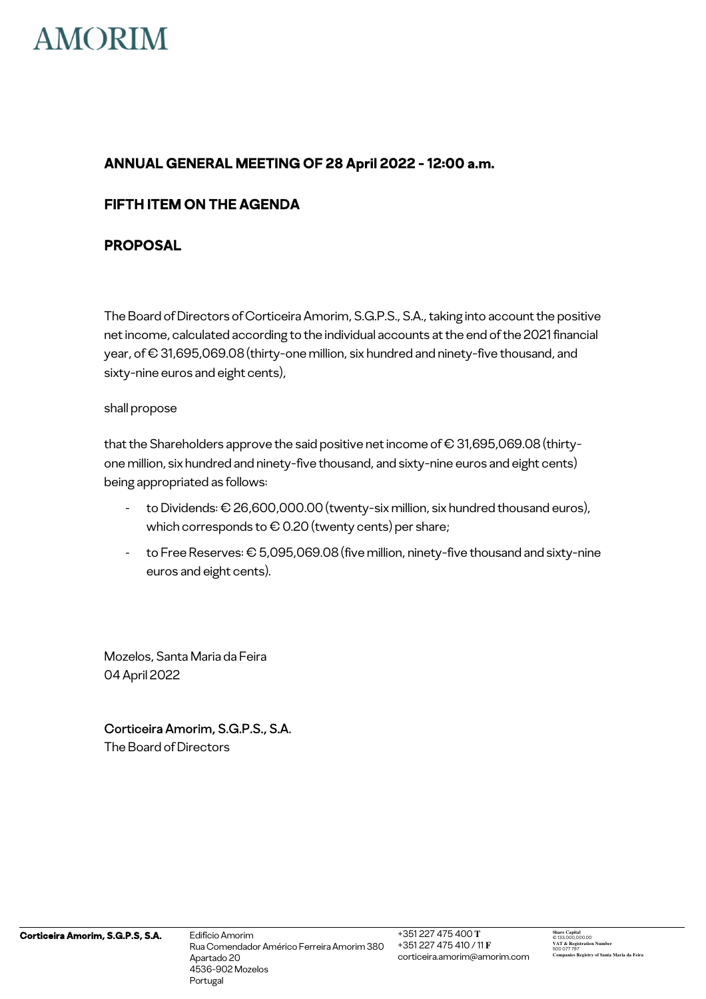

## **FIFTH ITEM ON THE AGENDA**

## **PROPOSAL**

The Board of Directors of Corticeira Amorim, S.G.P.S., S.A., taking into account the positive net income, calculated according to the individual accounts at the end of the 2021 financial year, of € 31,695,069.08 (thirty-one million, six hundred and ninety-five thousand, and sixty-nine euros and eight cents),

### shall propose

that the Shareholders approve the said positive net income of  $\epsilon$  31,695,069.08 (thirtyone million, six hundred and ninety-five thousand, and sixty-nine euros and eight cents) being appropriated as follows:

- to Dividends: € 26,600,000.00 (twenty-six million, six hundred thousand euros), which corresponds to  $\epsilon$  0.20 (twenty cents) per share;
- to Free Reserves: € 5,095,069.08 (five million, ninety-five thousand and sixty-nine euros and eight cents).

Mozelos, Santa Maria da Feira 04 April 2022

Corticeira Amorim, S.G.P.S., S.A.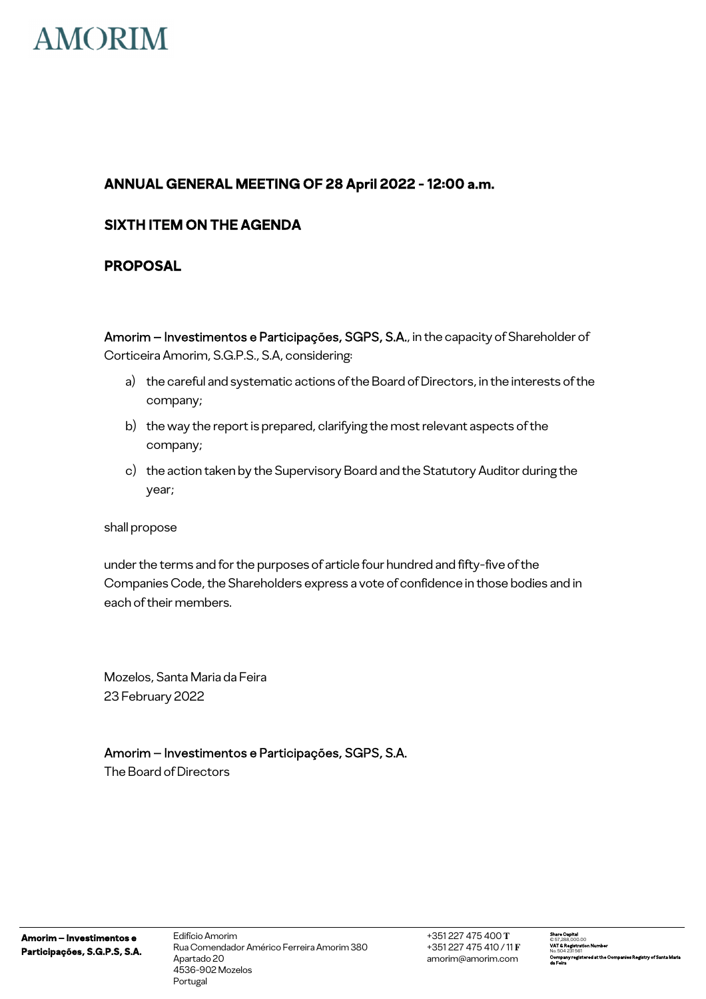

## **SIXTH ITEM ON THE AGENDA**

## **PROPOSAL**

Amorim – Investimentos e Participações, SGPS, S.A., in the capacity of Shareholder of Corticeira Amorim, S.G.P.S., S.A, considering:

- a) the careful and systematic actions of the Board of Directors, in the interests of the company;
- b) the way the report is prepared, clarifying the most relevant aspects of the company;
- c) the action taken by the Supervisory Board and the Statutory Auditor during the year;

shall propose

under the terms and for the purposes of article four hundred and fifty-five of the Companies Code, the Shareholders express a vote of confidence in those bodies and in each of their members.

Mozelos, Santa Maria da Feira 23 February 2022

## Amorim – Investimentos e Participações, SGPS, S.A.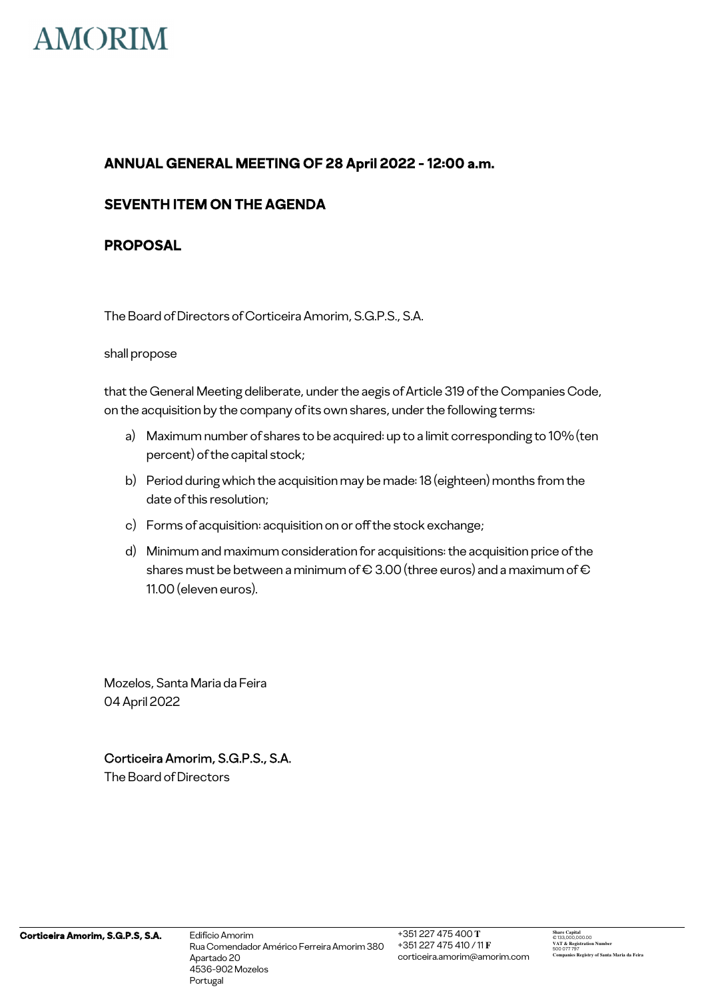

## **SEVENTH ITEM ON THE AGENDA**

## **PROPOSAL**

The Board of Directors of Corticeira Amorim, S.G.P.S., S.A.

#### shall propose

that the General Meeting deliberate, under the aegis of Article 319 of the Companies Code, on the acquisition by the company of its own shares, under the following terms:

- a) Maximum number of shares to be acquired: up to a limit corresponding to 10% (ten percent) of the capital stock;
- b) Period during which the acquisition may be made: 18 (eighteen) months from the date of this resolution;
- c) Forms of acquisition: acquisition on or off the stock exchange;
- d) Minimum and maximum consideration for acquisitions: the acquisition price of the shares must be between a minimum of  $\in$  3.00 (three euros) and a maximum of  $\in$ 11.00 (eleven euros).

Mozelos, Santa Maria da Feira 04 April 2022

## Corticeira Amorim, S.G.P.S., S.A.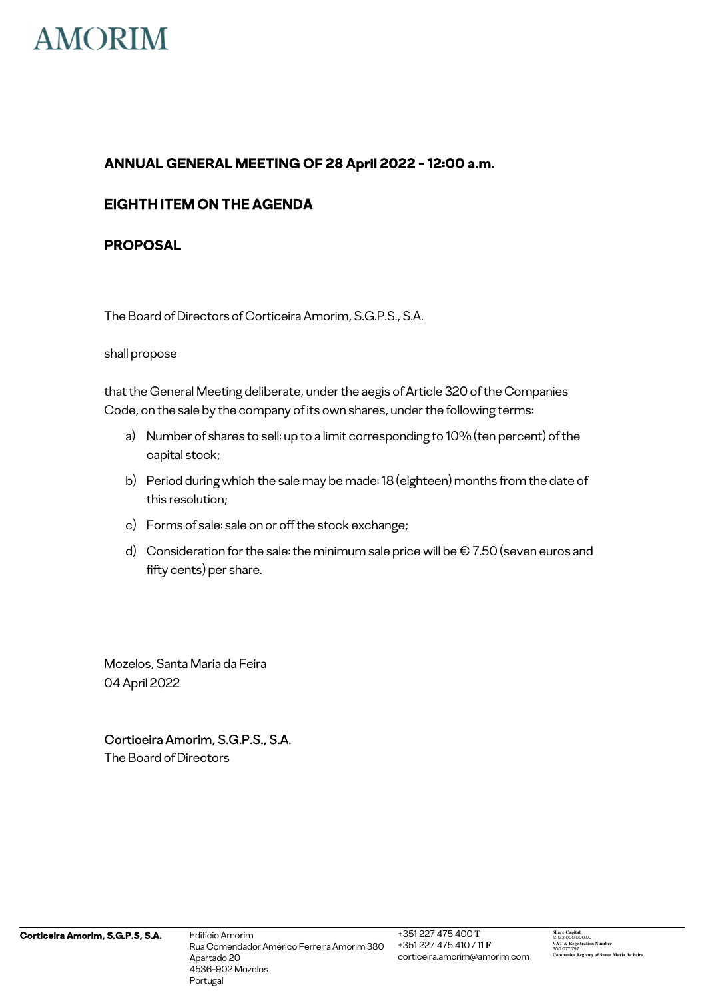

## **EIGHTH ITEM ON THE AGENDA**

## **PROPOSAL**

The Board of Directors of Corticeira Amorim, S.G.P.S., S.A.

#### shall propose

that the General Meeting deliberate, under the aegis of Article 320 of the Companies Code, on the sale by the company of its own shares, under the following terms:

- a) Number of shares to sell: up to a limit corresponding to 10% (ten percent) of the capital stock;
- b) Period during which the sale may be made: 18 (eighteen) months from the date of this resolution;
- c) Forms of sale: sale on or off the stock exchange;
- d) Consideration for the sale: the minimum sale price will be  $\epsilon$  7.50 (seven euros and fifty cents) per share.

Mozelos, Santa Maria da Feira 04 April 2022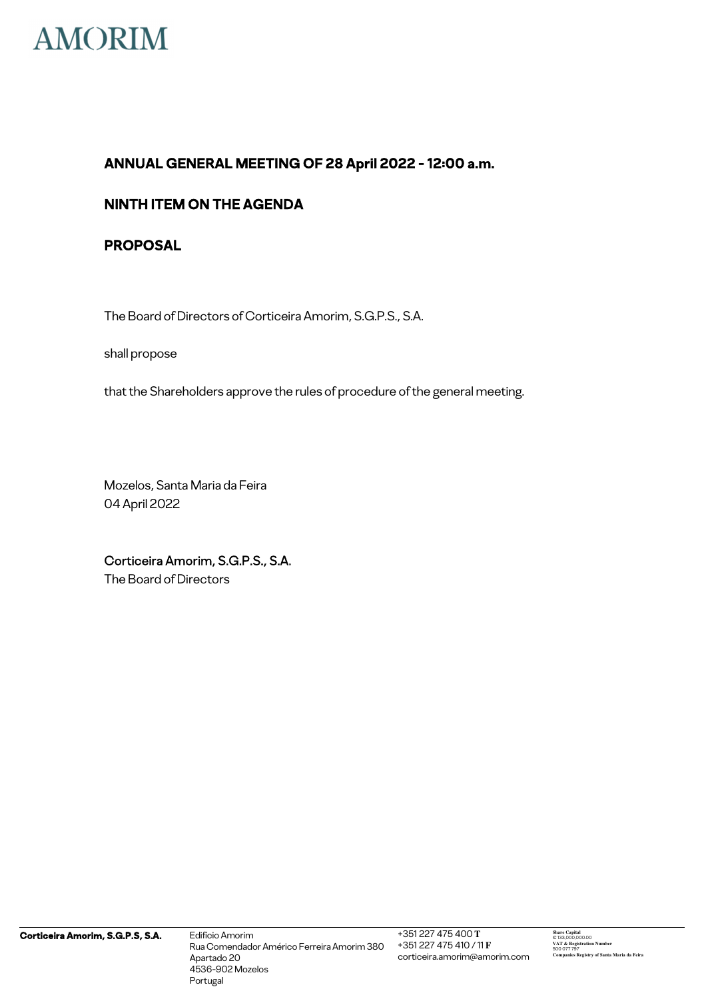

## **NINTH ITEM ON THE AGENDA**

## **PROPOSAL**

The Board of Directors of Corticeira Amorim, S.G.P.S., S.A.

shall propose

that the Shareholders approve the rules of procedure of the general meeting.

Mozelos, Santa Maria da Feira 04 April 2022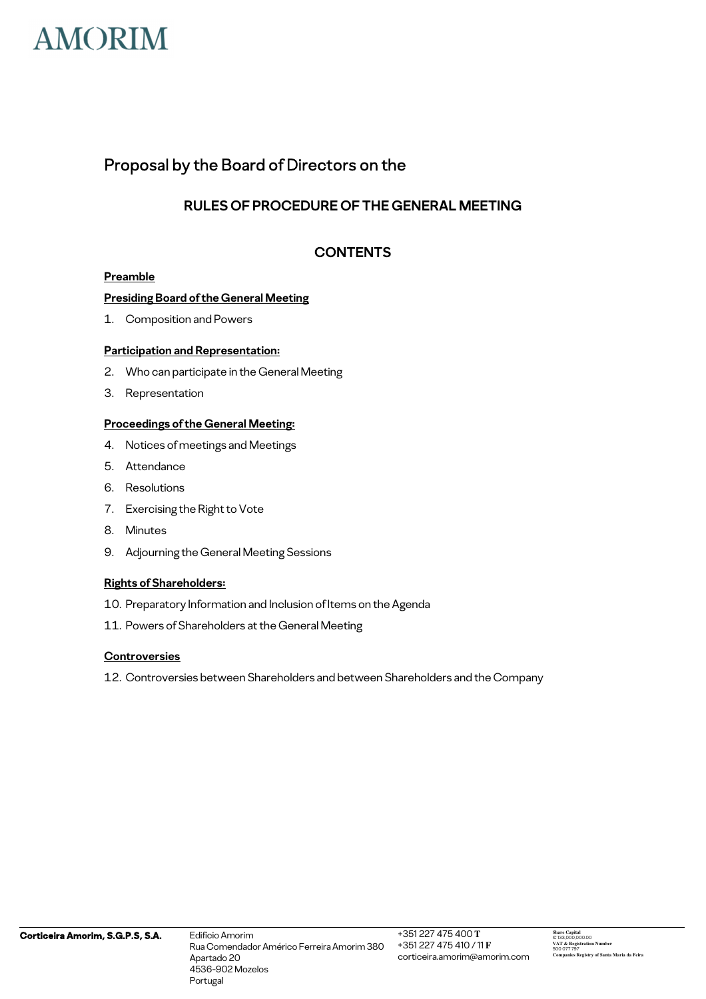

## Proposal by the Board of Directors on the

## **RULES OF PROCEDURE OF THE GENERAL MEETING**

## **CONTENTS**

#### **Preamble**

#### **Presiding Board of the General Meeting**

1. Composition and Powers

#### **Participation and Representation:**

- 2. Who can participate in the General Meeting
- 3. Representation

#### **Proceedings of the General Meeting:**

- 4. Notices of meetings and Meetings
- 5. Attendance
- 6. Resolutions
- 7. Exercising the Right to Vote
- 8. Minutes
- 9. Adjourning the General Meeting Sessions

#### **Rights of Shareholders:**

- 10. Preparatory Information and Inclusion of Items on the Agenda
- 11. Powers of Shareholders at the General Meeting

#### **Controversies**

12. Controversies between Shareholders and between Shareholders and the Company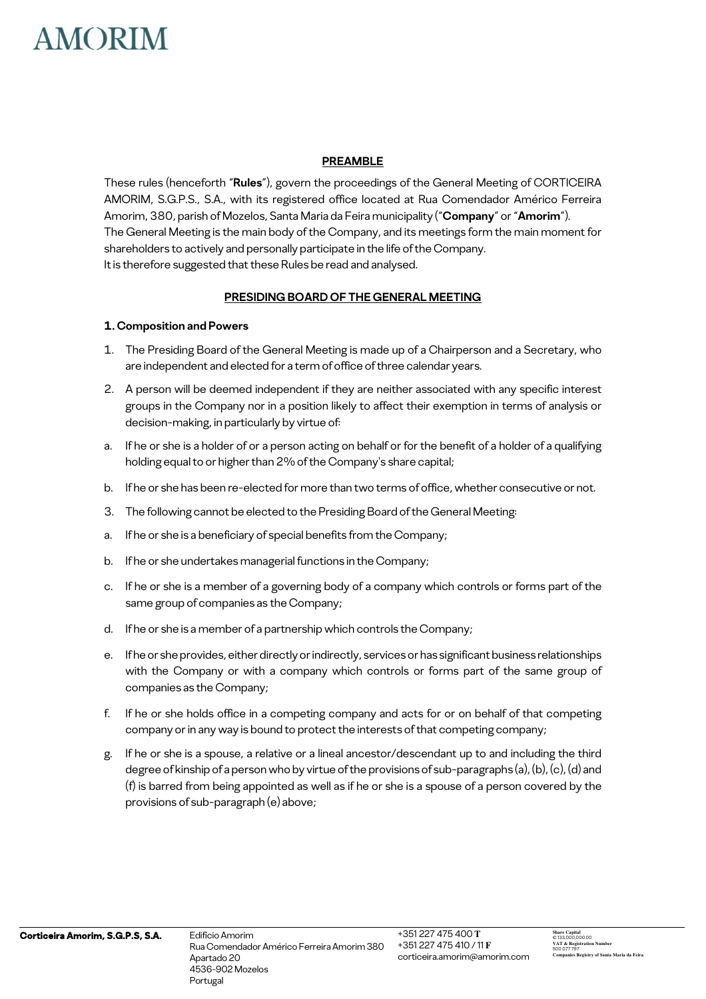#### **PREAMBLE**

These rules (henceforth "**Rules**"), govern the proceedings of the General Meeting of CORTICEIRA AMORIM, S.G.P.S., S.A., with its registered office located at Rua Comendador Américo Ferreira Amorim, 380, parish of Mozelos, Santa Maria da Feira municipality ("**Company**" or "**Amorim**"). The General Meeting is the main body of the Company, and its meetings form the main moment for shareholders to actively and personally participate in the life of the Company. It is therefore suggested that these Rules be read and analysed.

#### **PRESIDING BOARD OF THE GENERAL MEETING**

#### **1. Composition and Powers**

- 1. The Presiding Board of the General Meeting is made up of a Chairperson and a Secretary, who are independent and elected for a term of office of three calendar years.
- 2. A person will be deemed independent if they are neither associated with any specific interest groups in the Company nor in a position likely to affect their exemption in terms of analysis or decision-making, in particularly by virtue of:
- a. If he or she is a holder of or a person acting on behalf or for the benefit of a holder of a qualifying holding equal to or higher than 2% of the Company's share capital;
- b. If he or she has been re-elected for more than two terms of office, whether consecutive or not.
- 3. The following cannot be elected to the Presiding Board of the General Meeting:
- a. If he or she is a beneficiary of special benefits from the Company;
- b. If he or she undertakes managerial functions in the Company;
- c. If he or she is a member of a governing body of a company which controls or forms part of the same group of companies as the Company;
- d. If he or she is a member of a partnership which controls the Company;
- e. If he or she provides, either directly or indirectly, services or has significant business relationships with the Company or with a company which controls or forms part of the same group of companies as the Company;
- f. If he or she holds office in a competing company and acts for or on behalf of that competing company or in any way is bound to protect the interests of that competing company;
- g. If he or she is a spouse, a relative or a lineal ancestor/descendant up to and including the third degree of kinship of a person who by virtue of the provisions of sub-paragraphs (a), (b), (c), (d) and (f) is barred from being appointed as well as if he or she is a spouse of a person covered by the provisions of sub-paragraph (e) above;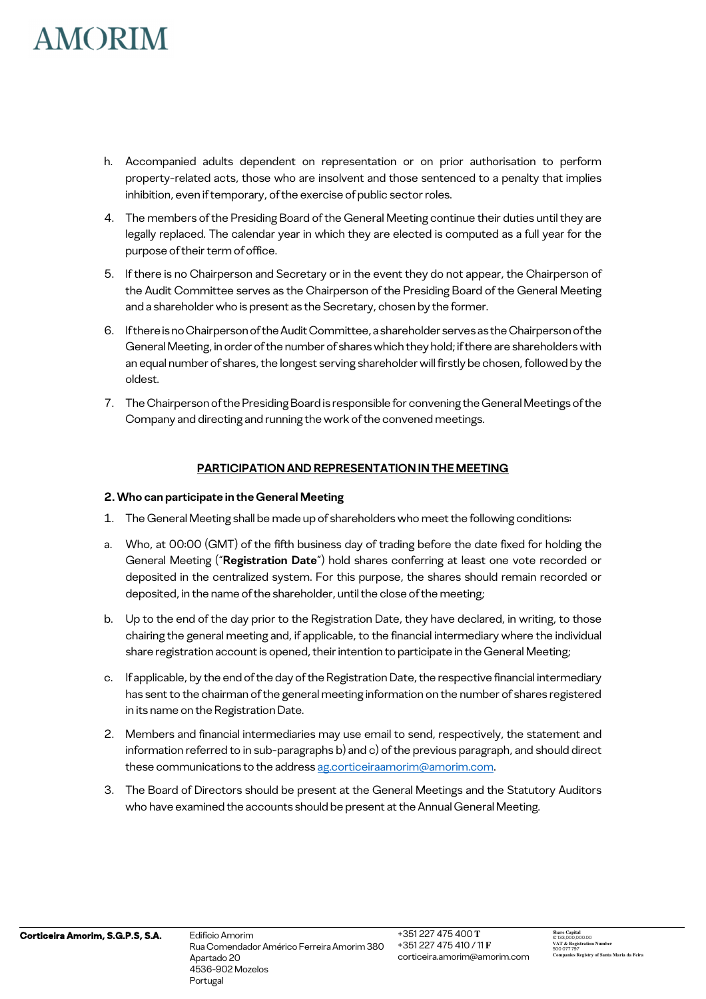- h. Accompanied adults dependent on representation or on prior authorisation to perform property-related acts, those who are insolvent and those sentenced to a penalty that implies inhibition, even if temporary, of the exercise of public sector roles.
- 4. The members of the Presiding Board of the General Meeting continue their duties until they are legally replaced. The calendar year in which they are elected is computed as a full year for the purpose of their term of office.
- 5. If there is no Chairperson and Secretary or in the event they do not appear, the Chairperson of the Audit Committee serves as the Chairperson of the Presiding Board of the General Meeting and a shareholder who is present as the Secretary, chosen by the former.
- 6. If there is no Chairperson of the Audit Committee, a shareholder serves as the Chairperson of the General Meeting, in order of the number of shares which they hold; if there are shareholders with an equal number of shares, the longest serving shareholder will firstly be chosen, followed by the oldest.
- 7. The Chairperson of the Presiding Board is responsible for convening the General Meetings of the Company and directing and running the work of the convened meetings.

### **PARTICIPATION AND REPRESENTATION IN THE MEETING**

#### **2. Who can participate in the General Meeting**

- 1. The General Meeting shall be made up of shareholders who meet the following conditions:
- a. Who, at 00:00 (GMT) of the fifth business day of trading before the date fixed for holding the General Meeting ("**Registration Date**") hold shares conferring at least one vote recorded or deposited in the centralized system. For this purpose, the shares should remain recorded or deposited, in the name of the shareholder, until the close of the meeting;
- b. Up to the end of the day prior to the Registration Date, they have declared, in writing, to those chairing the general meeting and, if applicable, to the financial intermediary where the individual share registration account is opened, their intention to participate in the General Meeting;
- c. If applicable, by the end of the day of the Registration Date, the respective financial intermediary has sent to the chairman of the general meeting information on the number of shares registered in its name on the Registration Date.
- 2. Members and financial intermediaries may use email to send, respectively, the statement and information referred to in sub-paragraphs b) and c) of the previous paragraph, and should direct these communications to the address ag.corticeiraamorim@amorim.com.
- 3. The Board of Directors should be present at the General Meetings and the Statutory Auditors who have examined the accounts should be present at the Annual General Meeting.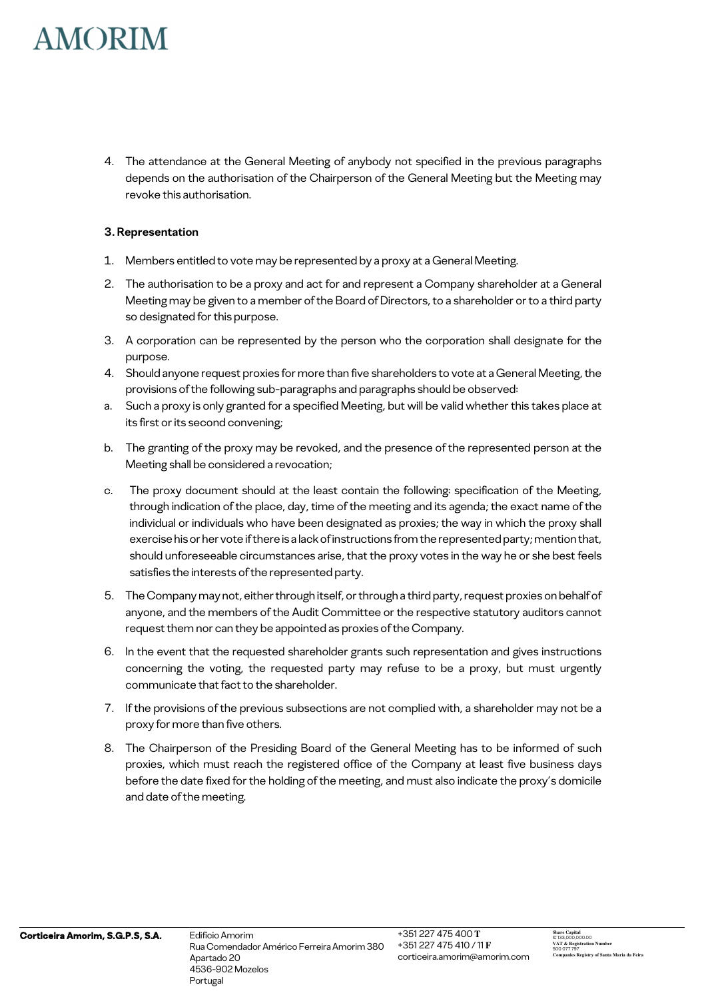4. The attendance at the General Meeting of anybody not specified in the previous paragraphs depends on the authorisation of the Chairperson of the General Meeting but the Meeting may revoke this authorisation.

#### **3. Representation**

- 1. Members entitled to vote may be represented by a proxy at a General Meeting.
- 2. The authorisation to be a proxy and act for and represent a Company shareholder at a General Meeting may be given to a member of the Board of Directors, to a shareholder or to a third party so designated for this purpose.
- 3. A corporation can be represented by the person who the corporation shall designate for the purpose.
- 4. Should anyone request proxies for more than five shareholders to vote at a General Meeting, the provisions of the following sub-paragraphs and paragraphs should be observed:
- a. Such a proxy is only granted for a specified Meeting, but will be valid whether this takes place at its first or its second convening;
- b. The granting of the proxy may be revoked, and the presence of the represented person at the Meeting shall be considered a revocation;
- c. The proxy document should at the least contain the following: specification of the Meeting, through indication of the place, day, time of the meeting and its agenda; the exact name of the individual or individuals who have been designated as proxies; the way in which the proxy shall exercise his or her vote if there is a lack of instructions from the represented party; mention that, should unforeseeable circumstances arise, that the proxy votes in the way he or she best feels satisfies the interests of the represented party.
- 5. The Company may not, either through itself, or through a third party, request proxies on behalf of anyone, and the members of the Audit Committee or the respective statutory auditors cannot request them nor can they be appointed as proxies of the Company.
- 6. In the event that the requested shareholder grants such representation and gives instructions concerning the voting, the requested party may refuse to be a proxy, but must urgently communicate that fact to the shareholder.
- 7. If the provisions of the previous subsections are not complied with, a shareholder may not be a proxy for more than five others.
- 8. The Chairperson of the Presiding Board of the General Meeting has to be informed of such proxies, which must reach the registered office of the Company at least five business days before the date fixed for the holding of the meeting, and must also indicate the proxy's domicile and date of the meeting.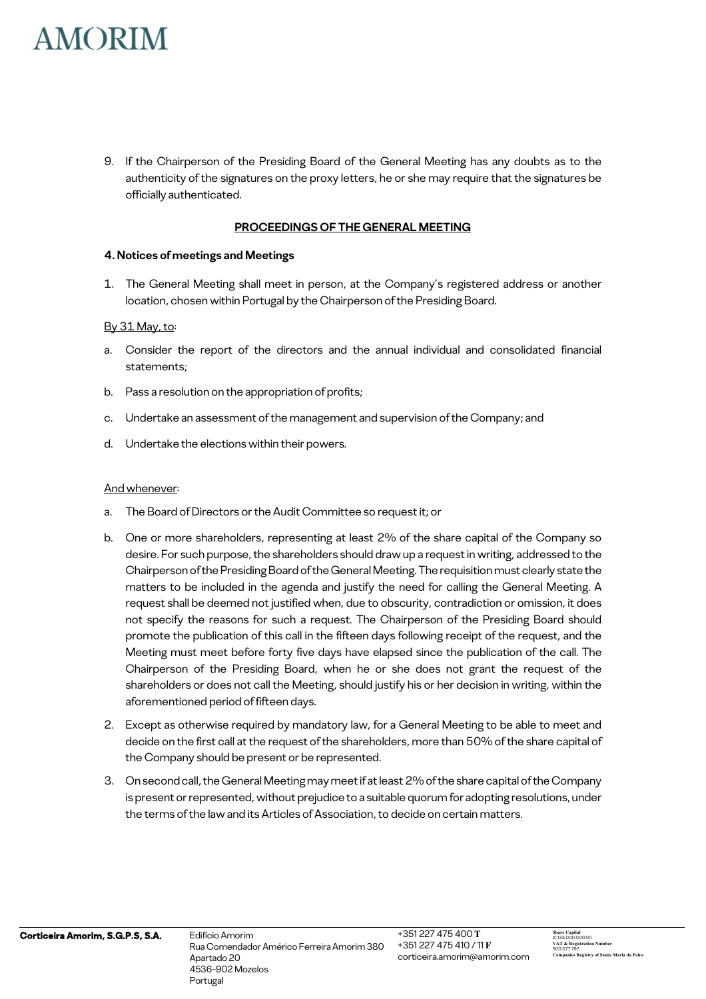9. If the Chairperson of the Presiding Board of the General Meeting has any doubts as to the authenticity of the signatures on the proxy letters, he or she may require that the signatures be officially authenticated.

#### **PROCEEDINGS OF THE GENERAL MEETING**

#### **4. Notices of meetings and Meetings**

1. The General Meeting shall meet in person, at the Company's registered address or another location, chosen within Portugal by the Chairperson of the Presiding Board.

#### By 31 May, to:

- a. Consider the report of the directors and the annual individual and consolidated financial statements;
- b. Pass a resolution on the appropriation of profits;
- c. Undertake an assessment of the management and supervision of the Company; and
- d. Undertake the elections within their powers.

#### And whenever:

- a. The Board of Directors or the Audit Committee so request it; or
- b. One or more shareholders, representing at least 2% of the share capital of the Company so desire. For such purpose, the shareholders should draw up a request in writing, addressed to the Chairperson of the Presiding Board of the General Meeting. The requisition must clearly state the matters to be included in the agenda and justify the need for calling the General Meeting. A request shall be deemed not justified when, due to obscurity, contradiction or omission, it does not specify the reasons for such a request. The Chairperson of the Presiding Board should promote the publication of this call in the fifteen days following receipt of the request, and the Meeting must meet before forty five days have elapsed since the publication of the call. The Chairperson of the Presiding Board, when he or she does not grant the request of the shareholders or does not call the Meeting, should justify his or her decision in writing, within the aforementioned period of fifteen days.
- 2. Except as otherwise required by mandatory law, for a General Meeting to be able to meet and decide on the first call at the request of the shareholders, more than 50% of the share capital of the Company should be present or be represented.
- 3. On second call, the General Meeting may meet if at least 2% of the share capital of the Company is present or represented, without prejudice to a suitable quorum for adopting resolutions, under the terms of the law and its Articles of Association, to decide on certain matters.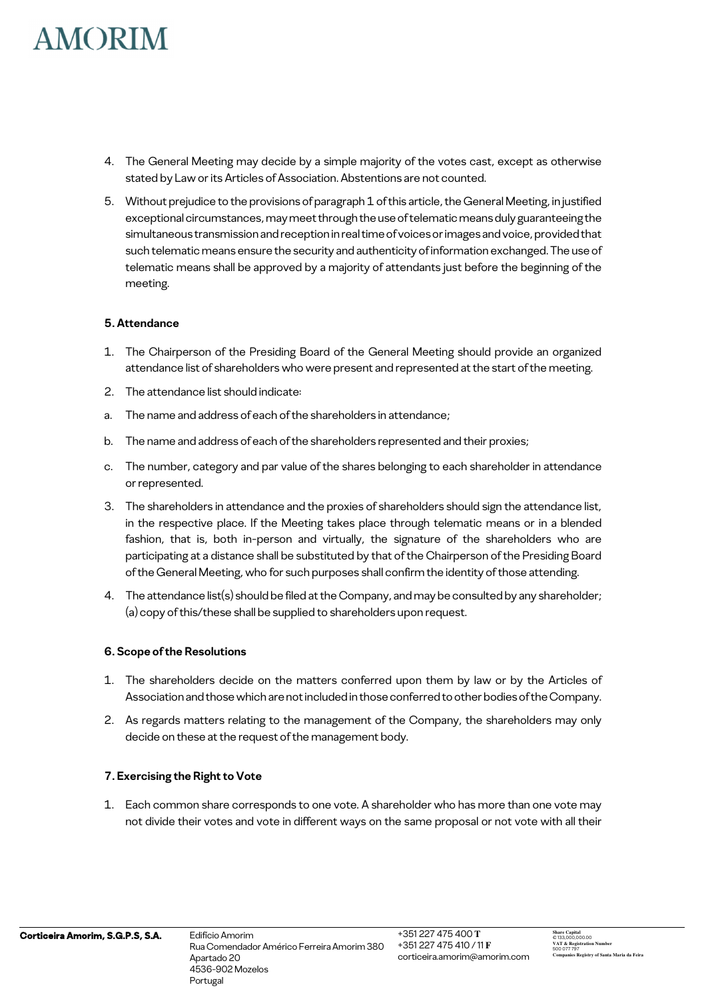- 4. The General Meeting may decide by a simple majority of the votes cast, except as otherwise stated by Law or its Articles of Association. Abstentions are not counted.
- 5. Without prejudice to the provisions of paragraph 1 of this article, the General Meeting, in justified exceptional circumstances, may meet through the use of telematic means duly guaranteeing the simultaneous transmission and reception in real time of voices or images and voice, provided that such telematic means ensure the security and authenticity of information exchanged. The use of telematic means shall be approved by a majority of attendants just before the beginning of the meeting.

### **5. Attendance**

- 1. The Chairperson of the Presiding Board of the General Meeting should provide an organized attendance list of shareholders who were present and represented at the start of the meeting.
- 2. The attendance list should indicate:
- a. The name and address of each of the shareholders in attendance;
- b. The name and address of each of the shareholders represented and their proxies;
- c. The number, category and par value of the shares belonging to each shareholder in attendance or represented.
- 3. The shareholders in attendance and the proxies of shareholders should sign the attendance list, in the respective place. If the Meeting takes place through telematic means or in a blended fashion, that is, both in-person and virtually, the signature of the shareholders who are participating at a distance shall be substituted by that of the Chairperson of the Presiding Board of the General Meeting, who for such purposes shall confirm the identity of those attending.
- 4. The attendance list(s) should be filed at the Company, and may be consulted by any shareholder; (a) copy of this/these shall be supplied to shareholders upon request.

#### **6. Scope of the Resolutions**

- 1. The shareholders decide on the matters conferred upon them by law or by the Articles of Association and those which are not included in those conferred to other bodies of the Company.
- 2. As regards matters relating to the management of the Company, the shareholders may only decide on these at the request of the management body.

### **7. Exercising the Right to Vote**

1. Each common share corresponds to one vote. A shareholder who has more than one vote may not divide their votes and vote in different ways on the same proposal or not vote with all their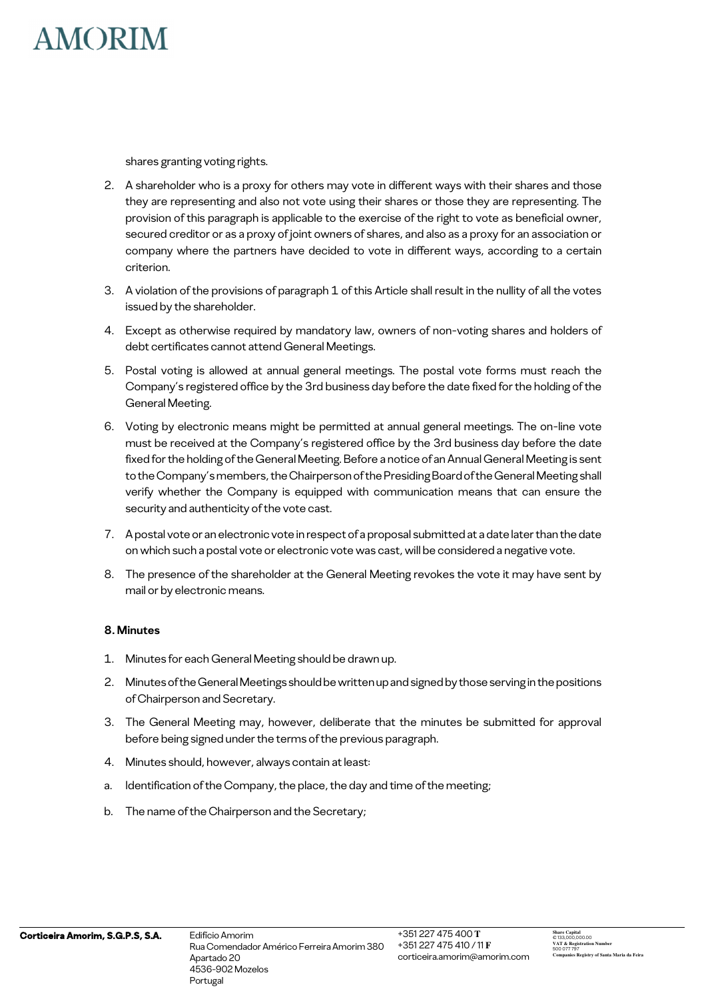

shares granting voting rights.

- 2. A shareholder who is a proxy for others may vote in different ways with their shares and those they are representing and also not vote using their shares or those they are representing. The provision of this paragraph is applicable to the exercise of the right to vote as beneficial owner, secured creditor or as a proxy of joint owners of shares, and also as a proxy for an association or company where the partners have decided to vote in different ways, according to a certain criterion.
- 3. A violation of the provisions of paragraph 1 of this Article shall result in the nullity of all the votes issued by the shareholder.
- 4. Except as otherwise required by mandatory law, owners of non-voting shares and holders of debt certificates cannot attend General Meetings.
- 5. Postal voting is allowed at annual general meetings. The postal vote forms must reach the Company's registered office by the 3rd business day before the date fixed for the holding of the General Meeting.
- 6. Voting by electronic means might be permitted at annual general meetings. The on-line vote must be received at the Company's registered office by the 3rd business day before the date fixed for the holding of the General Meeting. Before a notice of an Annual General Meeting is sent to the Company's members, the Chairperson of the Presiding Board of the General Meeting shall verify whether the Company is equipped with communication means that can ensure the security and authenticity of the vote cast.
- 7. A postal vote or an electronic vote in respect of a proposal submitted at a date later than the date on which such a postal vote or electronic vote was cast, will be considered a negative vote.
- 8. The presence of the shareholder at the General Meeting revokes the vote it may have sent by mail or by electronic means.

#### **8. Minutes**

- 1. Minutes for each General Meeting should be drawn up.
- 2. Minutes of the General Meetings should be written up and signed by those serving in the positions of Chairperson and Secretary.
- 3. The General Meeting may, however, deliberate that the minutes be submitted for approval before being signed under the terms of the previous paragraph.
- 4. Minutes should, however, always contain at least:
- a. Identification of the Company, the place, the day and time of the meeting;
- b. The name of the Chairperson and the Secretary;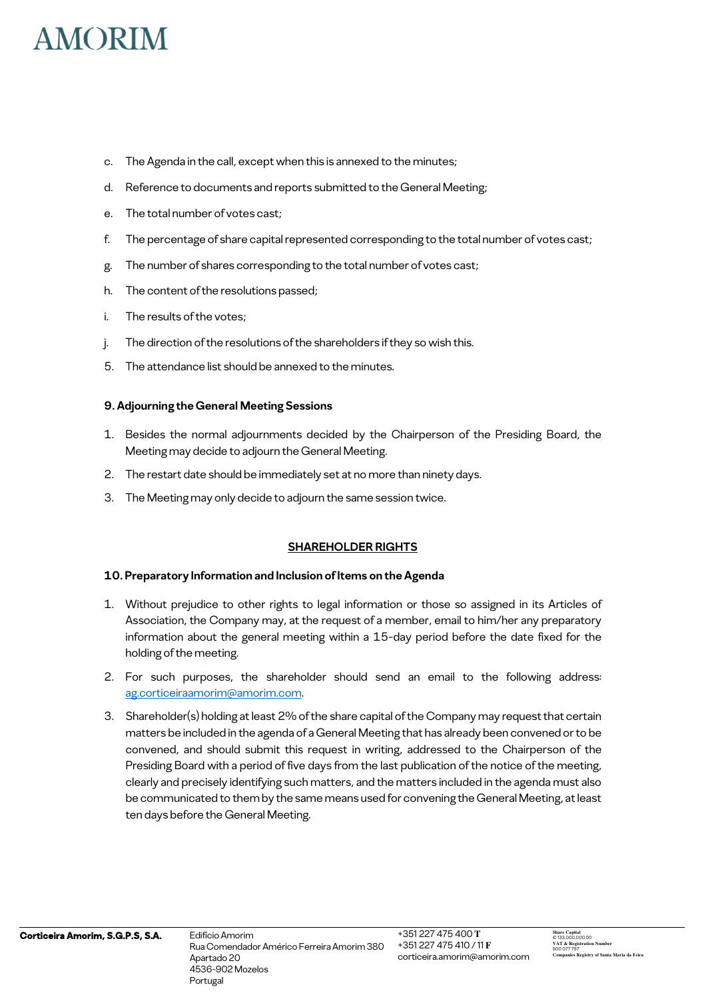- c. The Agenda in the call, except when this is annexed to the minutes;
- d. Reference to documents and reports submitted to the General Meeting;
- e. The total number of votes cast;
- f. The percentage of share capital represented corresponding to the total number of votes cast;
- g. The number of shares corresponding to the total number of votes cast;
- h. The content of the resolutions passed;
- i. The results of the votes;
- j. The direction of the resolutions of the shareholders if they so wish this.
- 5. The attendance list should be annexed to the minutes.

#### **9. Adjourning the General Meeting Sessions**

- 1. Besides the normal adjournments decided by the Chairperson of the Presiding Board, the Meeting may decide to adjourn the General Meeting.
- 2. The restart date should be immediately set at no more than ninety days.
- 3. The Meeting may only decide to adjourn the same session twice.

#### **SHAREHOLDER RIGHTS**

#### **10. Preparatory Information and Inclusion of Items on the Agenda**

- 1. Without prejudice to other rights to legal information or those so assigned in its Articles of Association, the Company may, at the request of a member, email to him/her any preparatory information about the general meeting within a 15-day period before the date fixed for the holding of the meeting.
- 2. For such purposes, the shareholder should send an email to the following address: ag.corticeiraamorim@amorim.com.
- 3. Shareholder(s) holding at least 2% of the share capital of the Company may request that certain matters be included in the agenda of a General Meeting that has already been convened or to be convened, and should submit this request in writing, addressed to the Chairperson of the Presiding Board with a period of five days from the last publication of the notice of the meeting, clearly and precisely identifying such matters, and the matters included in the agenda must also be communicated to them by the same means used for convening the General Meeting, at least ten days before the General Meeting.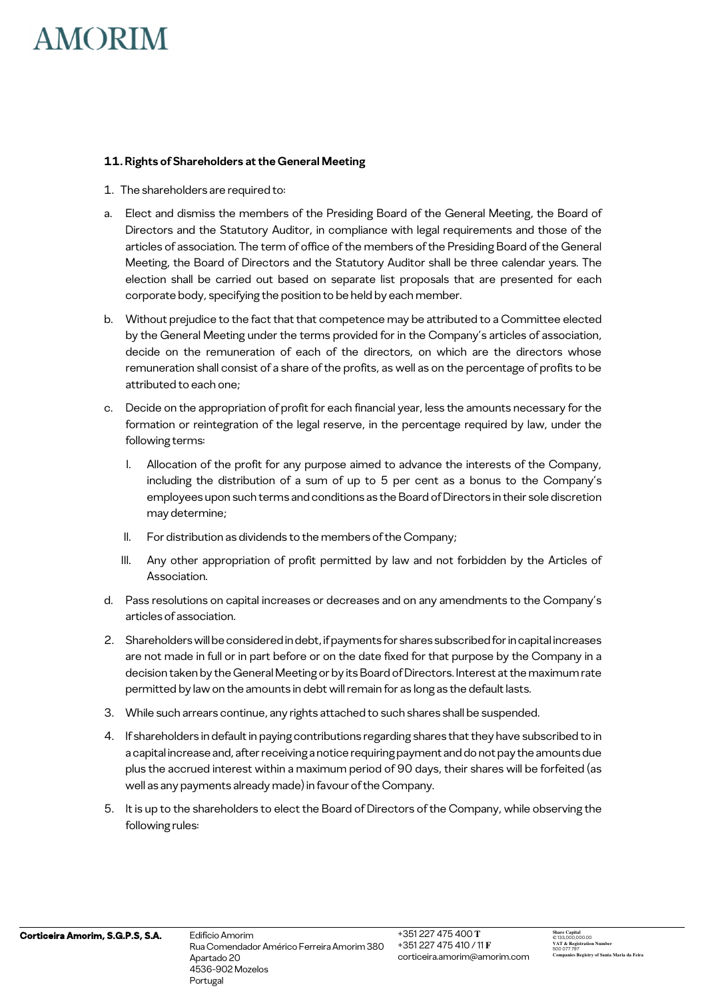#### **11. Rights of Shareholders at the General Meeting**

- 1. The shareholders are required to:
- a. Elect and dismiss the members of the Presiding Board of the General Meeting, the Board of Directors and the Statutory Auditor, in compliance with legal requirements and those of the articles of association. The term of office of the members of the Presiding Board of the General Meeting, the Board of Directors and the Statutory Auditor shall be three calendar years. The election shall be carried out based on separate list proposals that are presented for each corporate body, specifying the position to be held by each member.
- b. Without prejudice to the fact that that competence may be attributed to a Committee elected by the General Meeting under the terms provided for in the Company's articles of association, decide on the remuneration of each of the directors, on which are the directors whose remuneration shall consist of a share of the profits, as well as on the percentage of profits to be attributed to each one;
- c. Decide on the appropriation of profit for each financial year, less the amounts necessary for the formation or reintegration of the legal reserve, in the percentage required by law, under the following terms:
	- I. Allocation of the profit for any purpose aimed to advance the interests of the Company, including the distribution of a sum of up to 5 per cent as a bonus to the Company's employees upon such terms and conditions as the Board of Directors in their sole discretion may determine;
	- II. For distribution as dividends to the members of the Company;
	- III. Any other appropriation of profit permitted by law and not forbidden by the Articles of Association.
- d. Pass resolutions on capital increases or decreases and on any amendments to the Company's articles of association.
- 2. Shareholders will be considered in debt, if payments for shares subscribed for in capital increases are not made in full or in part before or on the date fixed for that purpose by the Company in a decision taken by the General Meeting or by its Board of Directors. Interest at the maximum rate permitted by law on the amounts in debt will remain for as long as the default lasts.
- 3. While such arrears continue, any rights attached to such shares shall be suspended.
- 4. If shareholders in default in paying contributions regarding shares that they have subscribed to in a capital increase and, after receiving a notice requiring payment and do not pay the amounts due plus the accrued interest within a maximum period of 90 days, their shares will be forfeited (as well as any payments already made) in favour of the Company.
- 5. It is up to the shareholders to elect the Board of Directors of the Company, while observing the following rules: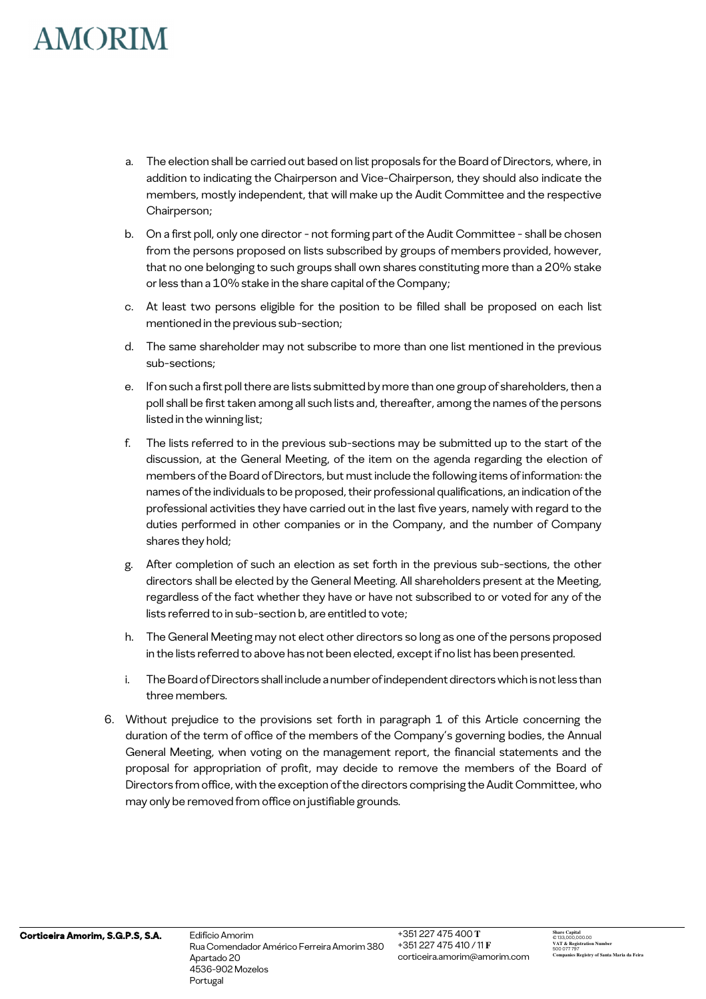- a. The election shall be carried out based on list proposals for the Board of Directors, where, in addition to indicating the Chairperson and Vice-Chairperson, they should also indicate the members, mostly independent, that will make up the Audit Committee and the respective Chairperson;
- b. On a first poll, only one director not forming part of the Audit Committee shall be chosen from the persons proposed on lists subscribed by groups of members provided, however, that no one belonging to such groups shall own shares constituting more than a 20% stake or less than a 10% stake in the share capital of the Company;
- c. At least two persons eligible for the position to be filled shall be proposed on each list mentioned in the previous sub-section;
- d. The same shareholder may not subscribe to more than one list mentioned in the previous sub-sections;
- e. If on such a first poll there are lists submitted by more than one group of shareholders, then a poll shall be first taken among all such lists and, thereafter, among the names of the persons listed in the winning list;
- f. The lists referred to in the previous sub-sections may be submitted up to the start of the discussion, at the General Meeting, of the item on the agenda regarding the election of members of the Board of Directors, but must include the following items of information: the names of the individuals to be proposed, their professional qualifications, an indication of the professional activities they have carried out in the last five years, namely with regard to the duties performed in other companies or in the Company, and the number of Company shares they hold;
- g. After completion of such an election as set forth in the previous sub-sections, the other directors shall be elected by the General Meeting. All shareholders present at the Meeting, regardless of the fact whether they have or have not subscribed to or voted for any of the lists referred to in sub-section b, are entitled to vote;
- h. The General Meeting may not elect other directors so long as one of the persons proposed in the lists referred to above has not been elected, except if no list has been presented.
- i. The Board of Directors shall include a number of independent directors which is not less than three members.
- 6. Without prejudice to the provisions set forth in paragraph 1 of this Article concerning the duration of the term of office of the members of the Company's governing bodies, the Annual General Meeting, when voting on the management report, the financial statements and the proposal for appropriation of profit, may decide to remove the members of the Board of Directors from office, with the exception of the directors comprising the Audit Committee, who may only be removed from office on justifiable grounds.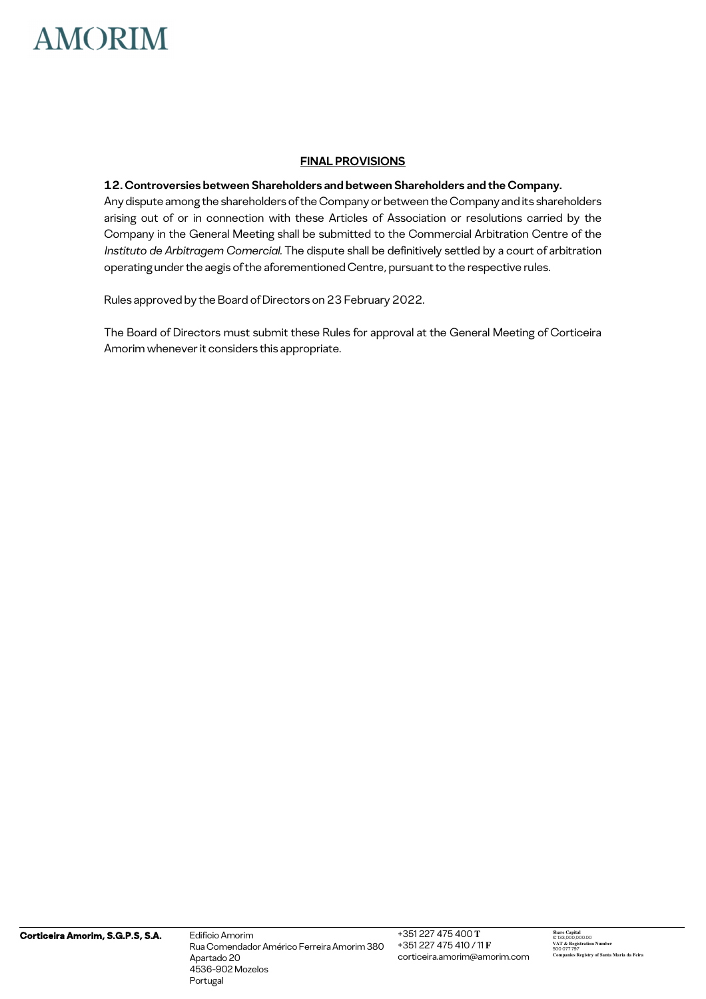#### **FINAL PROVISIONS**

#### **12. Controversies between Shareholders and between Shareholders and the Company.**

Any dispute among the shareholders of the Company or between the Company and its shareholders arising out of or in connection with these Articles of Association or resolutions carried by the Company in the General Meeting shall be submitted to the Commercial Arbitration Centre of the *Instituto de Arbitragem Comercial.* The dispute shall be definitively settled by a court of arbitration operating under the aegis of the aforementioned Centre, pursuant to the respective rules.

Rules approved by the Board of Directors on 23 February 2022.

The Board of Directors must submit these Rules for approval at the General Meeting of Corticeira Amorim whenever it considers this appropriate.

Rua Comendador Américo Ferreira Amorim 380 Apartado 20 4536-902 Mozelos Mozelos Portugal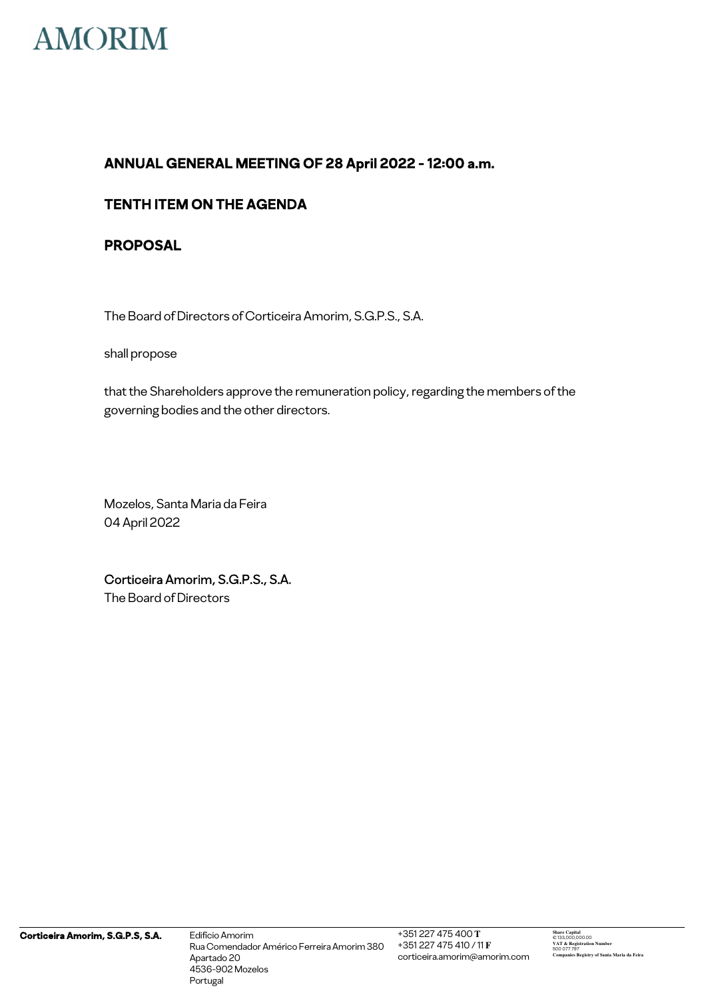

## **TENTH ITEM ON THE AGENDA**

## **PROPOSAL**

The Board of Directors of Corticeira Amorim, S.G.P.S., S.A.

shall propose

that the Shareholders approve the remuneration policy, regarding the members of the governing bodies and the other directors.

Mozelos, Santa Maria da Feira 04 April 2022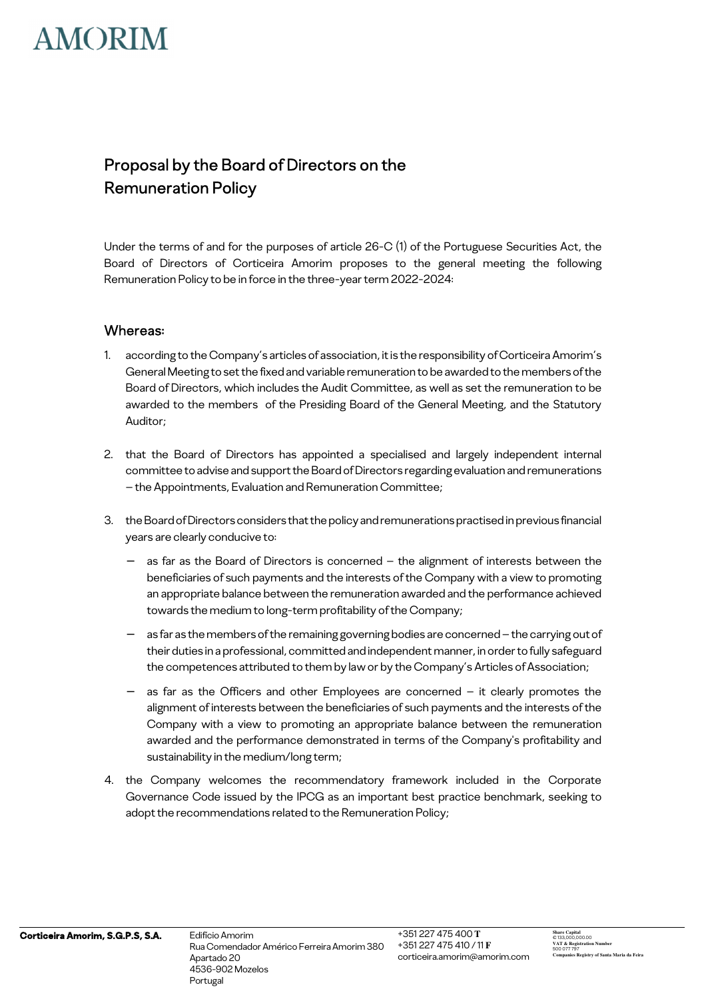# Proposal by the Board of Directors on the Remuneration Policy

Under the terms of and for the purposes of article 26-C (1) of the Portuguese Securities Act, the Board of Directors of Corticeira Amorim proposes to the general meeting the following Remuneration Policy to be in force in the three-year term 2022-2024:

### Whereas:

- 1. according to the Company's articles of association, it is the responsibility of Corticeira Amorim's General Meeting to set the fixed and variable remuneration to be awarded to the members of the Board of Directors, which includes the Audit Committee, as well as set the remuneration to be awarded to the members of the Presiding Board of the General Meeting, and the Statutory Auditor;
- 2. that the Board of Directors has appointed a specialised and largely independent internal committee to advise and support the Board of Directors regarding evaluation and remunerations – the Appointments, Evaluation and Remuneration Committee;
- 3. the Board of Directors considers that the policy and remunerations practised in previous financial years are clearly conducive to:
	- as far as the Board of Directors is concerned the alignment of interests between the beneficiaries of such payments and the interests of the Company with a view to promoting an appropriate balance between the remuneration awarded and the performance achieved towards the medium to long-term profitability of the Company;
	- as far as the members of the remaining governing bodies are concerned the carrying out of their duties in a professional, committed and independent manner, in order to fully safeguard the competences attributed to them by law or by the Company's Articles of Association;
	- as far as the Officers and other Employees are concerned it clearly promotes the alignment of interests between the beneficiaries of such payments and the interests of the Company with a view to promoting an appropriate balance between the remuneration awarded and the performance demonstrated in terms of the Company's profitability and sustainability in the medium/long term;
- 4. the Company welcomes the recommendatory framework included in the Corporate Governance Code issued by the IPCG as an important best practice benchmark, seeking to adopt the recommendations related to the Remuneration Policy;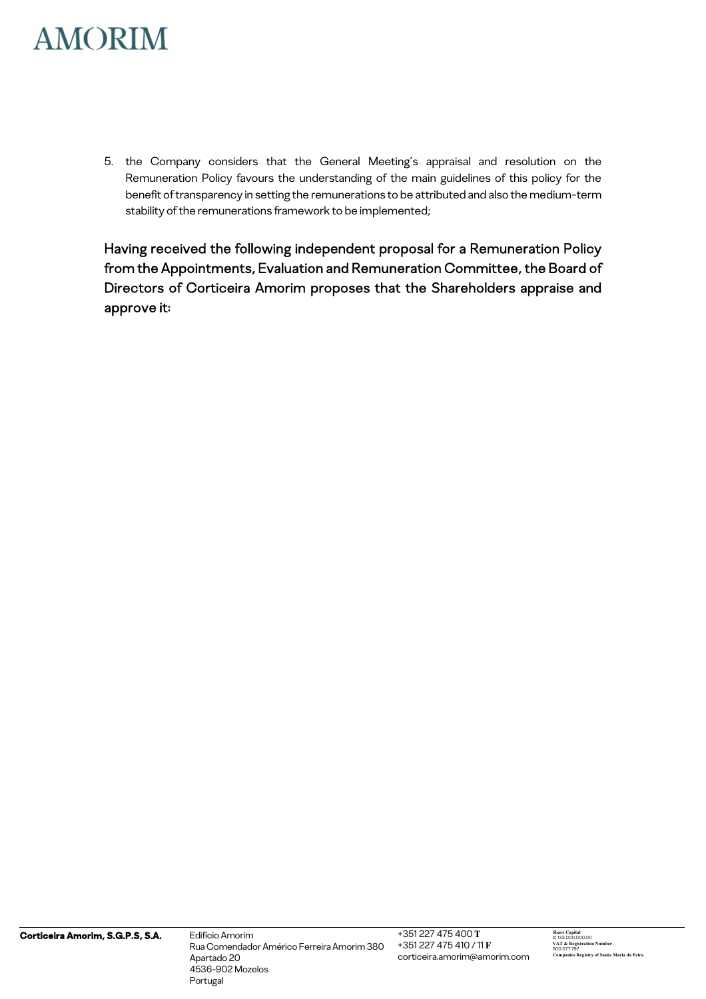5. the Company considers that the General Meeting's appraisal and resolution on the Remuneration Policy favours the understanding of the main guidelines of this policy for the benefit of transparency in setting the remunerations to be attributed and also the medium-term stability of the remunerations framework to be implemented;

Having received the following independent proposal for a Remuneration Policy from the Appointments, Evaluation and Remuneration Committee, the Board of Directors of Corticeira Amorim proposes that the Shareholders appraise and approve it: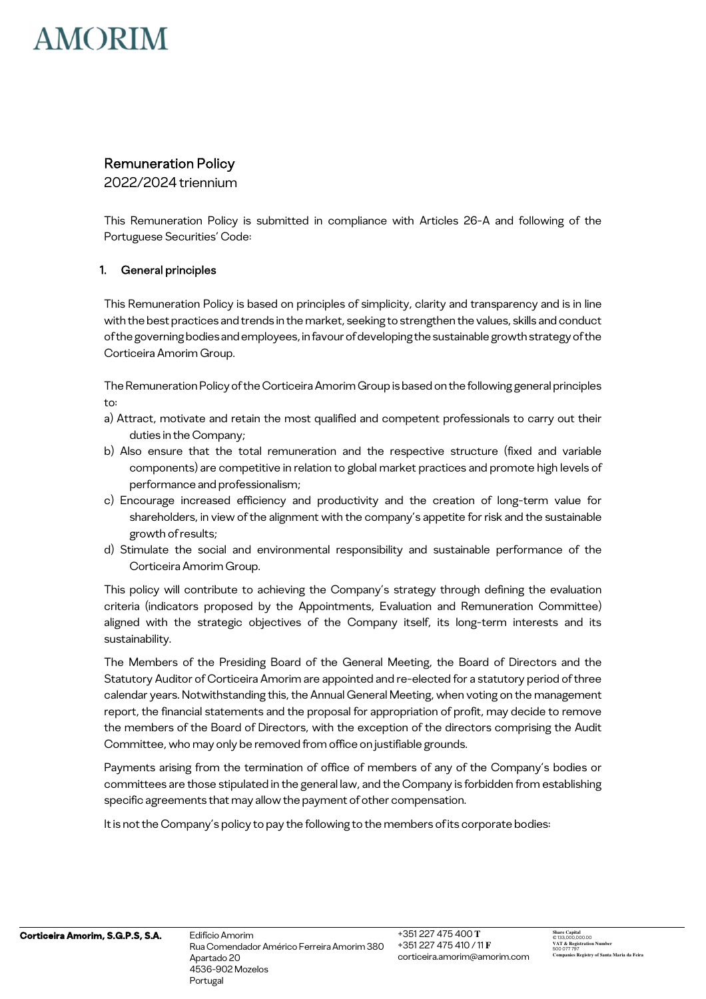## Remuneration Policy

2022/2024 triennium

This Remuneration Policy is submitted in compliance with Articles 26-A and following of the Portuguese Securities' Code:

### 1. General principles

This Remuneration Policy is based on principles of simplicity, clarity and transparency and is in line with the best practices and trends in the market, seeking to strengthen the values, skills and conduct of the governing bodies and employees, in favour of developing the sustainable growth strategy of the Corticeira Amorim Group.

The Remuneration Policy of the Corticeira Amorim Group is based on the following general principles to:

- a) Attract, motivate and retain the most qualified and competent professionals to carry out their duties in the Company;
- b) Also ensure that the total remuneration and the respective structure (fixed and variable components) are competitive in relation to global market practices and promote high levels of performance and professionalism;
- c) Encourage increased efficiency and productivity and the creation of long-term value for shareholders, in view of the alignment with the company's appetite for risk and the sustainable growth of results;
- d) Stimulate the social and environmental responsibility and sustainable performance of the Corticeira Amorim Group.

This policy will contribute to achieving the Company's strategy through defining the evaluation criteria (indicators proposed by the Appointments, Evaluation and Remuneration Committee) aligned with the strategic objectives of the Company itself, its long-term interests and its sustainability.

The Members of the Presiding Board of the General Meeting, the Board of Directors and the Statutory Auditor of Corticeira Amorim are appointed and re-elected for a statutory period of three calendar years. Notwithstanding this, the Annual General Meeting, when voting on the management report, the financial statements and the proposal for appropriation of profit, may decide to remove the members of the Board of Directors, with the exception of the directors comprising the Audit Committee, who may only be removed from office on justifiable grounds.

Payments arising from the termination of office of members of any of the Company's bodies or committees are those stipulated in the general law, and the Company is forbidden from establishing specific agreements that may allow the payment of other compensation.

It is not the Company's policy to pay the following to the members of its corporate bodies: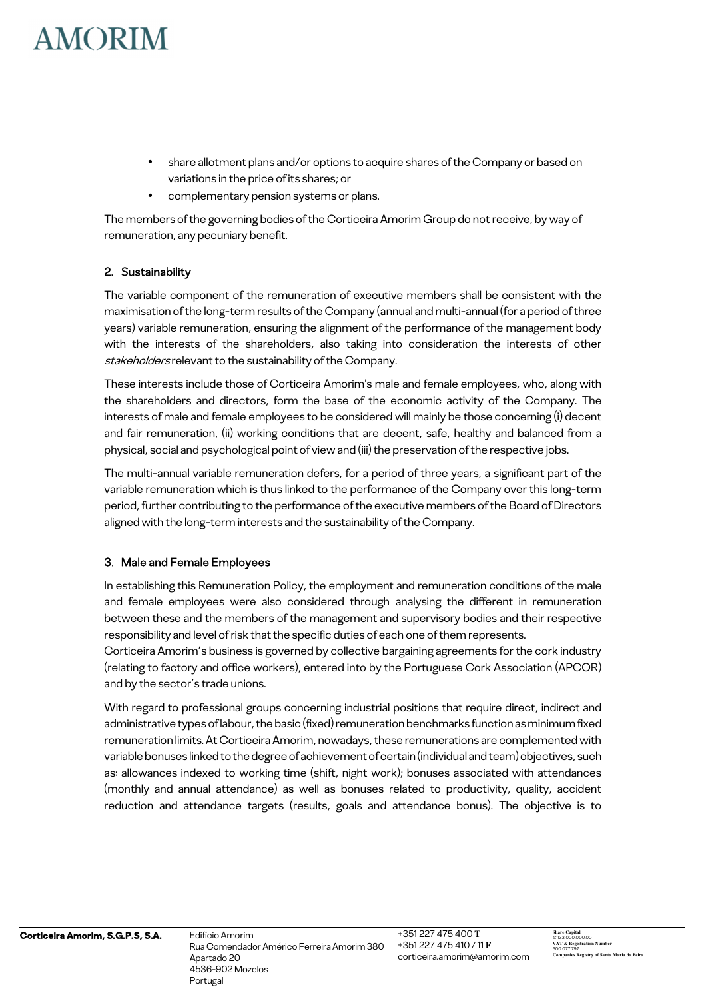- share allotment plans and/or options to acquire shares of the Company or based on variations in the price of its shares; or
- complementary pension systems or plans.

The members of the governing bodies of the Corticeira Amorim Group do not receive, by way of remuneration, any pecuniary benefit.

### 2. Sustainability

The variable component of the remuneration of executive members shall be consistent with the maximisation of the long-term results of the Company (annual and multi-annual (for a period of three years) variable remuneration, ensuring the alignment of the performance of the management body with the interests of the shareholders, also taking into consideration the interests of other stakeholders relevant to the sustainability of the Company.

These interests include those of Corticeira Amorim's male and female employees, who, along with the shareholders and directors, form the base of the economic activity of the Company. The interests of male and female employees to be considered will mainly be those concerning (i) decent and fair remuneration, (ii) working conditions that are decent, safe, healthy and balanced from a physical, social and psychological point of view and (iii) the preservation of the respective jobs.

The multi-annual variable remuneration defers, for a period of three years, a significant part of the variable remuneration which is thus linked to the performance of the Company over this long-term period, further contributing to the performance of the executive members of the Board of Directors aligned with the long-term interests and the sustainability of the Company.

#### 3. Male and Female Employees

In establishing this Remuneration Policy, the employment and remuneration conditions of the male and female employees were also considered through analysing the different in remuneration between these and the members of the management and supervisory bodies and their respective responsibility and level of risk that the specific duties of each one of them represents.

Corticeira Amorim's business is governed by collective bargaining agreements for the cork industry (relating to factory and office workers), entered into by the Portuguese Cork Association (APCOR) and by the sector's trade unions.

With regard to professional groups concerning industrial positions that require direct, indirect and administrative types of labour, the basic (fixed) remuneration benchmarks function as minimum fixed remuneration limits. At Corticeira Amorim, nowadays, these remunerations are complemented with variable bonuses linked to the degree of achievement of certain (individual and team) objectives, such as: allowances indexed to working time (shift, night work); bonuses associated with attendances (monthly and annual attendance) as well as bonuses related to productivity, quality, accident reduction and attendance targets (results, goals and attendance bonus). The objective is to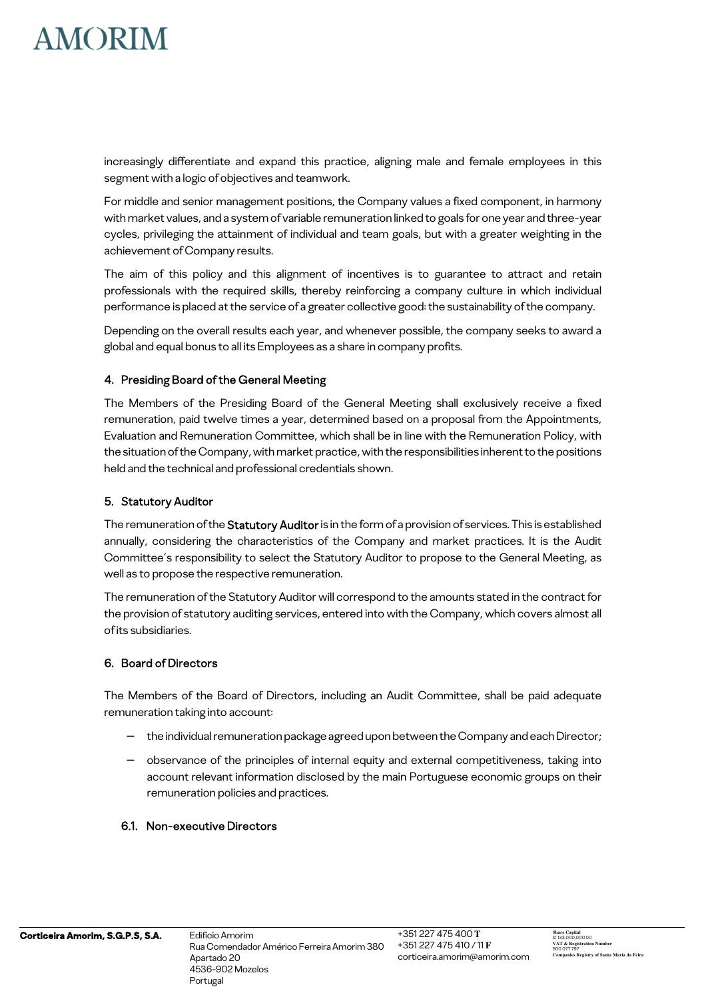

increasingly differentiate and expand this practice, aligning male and female employees in this segment with a logic of objectives and teamwork.

For middle and senior management positions, the Company values a fixed component, in harmony with market values, and a system of variable remuneration linked to goals for one year and three-year cycles, privileging the attainment of individual and team goals, but with a greater weighting in the achievement of Company results.

The aim of this policy and this alignment of incentives is to guarantee to attract and retain professionals with the required skills, thereby reinforcing a company culture in which individual performance is placed at the service of a greater collective good: the sustainability of the company.

Depending on the overall results each year, and whenever possible, the company seeks to award a global and equal bonus to all its Employees as a share in company profits.

### 4. Presiding Board of the General Meeting

The Members of the Presiding Board of the General Meeting shall exclusively receive a fixed remuneration, paid twelve times a year, determined based on a proposal from the Appointments, Evaluation and Remuneration Committee, which shall be in line with the Remuneration Policy, with the situation of the Company, with market practice, with the responsibilities inherent to the positions held and the technical and professional credentials shown.

#### 5. Statutory Auditor

The remuneration of the Statutory Auditor is in the form of a provision of services. This is established annually, considering the characteristics of the Company and market practices. It is the Audit Committee's responsibility to select the Statutory Auditor to propose to the General Meeting, as well as to propose the respective remuneration.

The remuneration of the Statutory Auditor will correspond to the amounts stated in the contract for the provision of statutory auditing services, entered into with the Company, which covers almost all of its subsidiaries.

### 6. Board of Directors

The Members of the Board of Directors, including an Audit Committee, shall be paid adequate remuneration taking into account:

- the individual remuneration package agreed upon between the Company and each Director;
- − observance of the principles of internal equity and external competitiveness, taking into account relevant information disclosed by the main Portuguese economic groups on their remuneration policies and practices.

#### 6.1. Non-executive Directors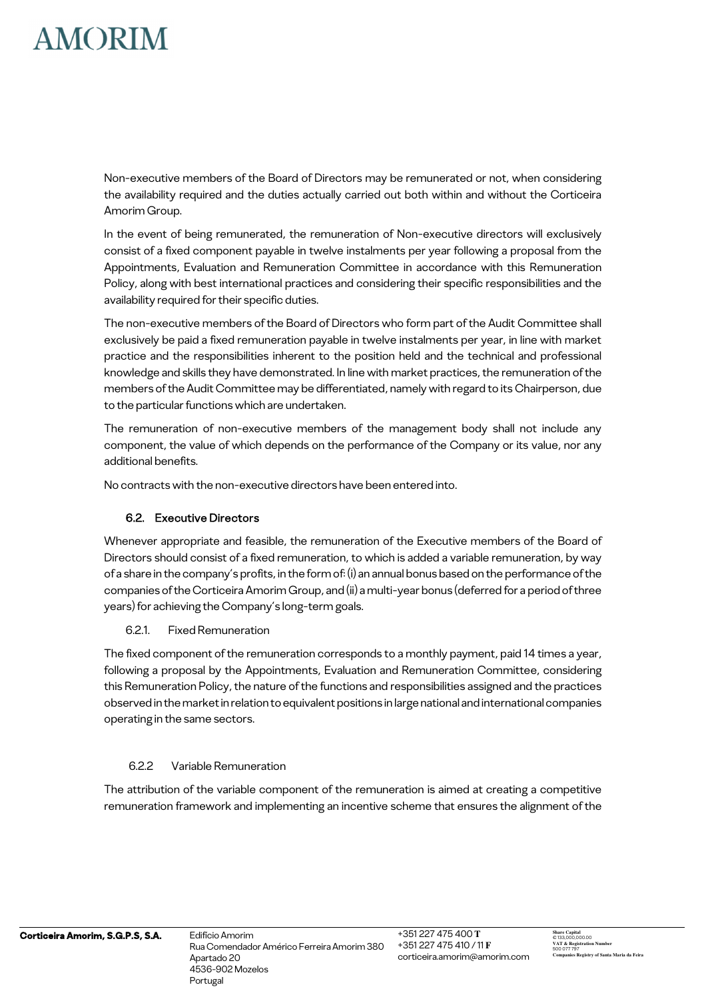Non-executive members of the Board of Directors may be remunerated or not, when considering the availability required and the duties actually carried out both within and without the Corticeira Amorim Group.

In the event of being remunerated, the remuneration of Non-executive directors will exclusively consist of a fixed component payable in twelve instalments per year following a proposal from the Appointments, Evaluation and Remuneration Committee in accordance with this Remuneration Policy, along with best international practices and considering their specific responsibilities and the availability required for their specific duties.

The non-executive members of the Board of Directors who form part of the Audit Committee shall exclusively be paid a fixed remuneration payable in twelve instalments per year, in line with market practice and the responsibilities inherent to the position held and the technical and professional knowledge and skills they have demonstrated. In line with market practices, the remuneration of the members of the Audit Committee may be differentiated, namely with regard to its Chairperson, due to the particular functions which are undertaken.

The remuneration of non-executive members of the management body shall not include any component, the value of which depends on the performance of the Company or its value, nor any additional benefits.

No contracts with the non-executive directors have been entered into.

## 6.2. Executive Directors

Whenever appropriate and feasible, the remuneration of the Executive members of the Board of Directors should consist of a fixed remuneration, to which is added a variable remuneration, by way of a share in the company's profits, in the form of: (i) an annual bonus based on the performance of the companies of the Corticeira Amorim Group, and (ii) a multi-year bonus (deferred for a period of three years) for achieving the Company's long-term goals.

### 6.2.1. Fixed Remuneration

The fixed component of the remuneration corresponds to a monthly payment, paid 14 times a year, following a proposal by the Appointments, Evaluation and Remuneration Committee, considering this Remuneration Policy, the nature of the functions and responsibilities assigned and the practices observed in the market in relation to equivalent positions in large national and international companies operating in the same sectors.

### 6.2.2 Variable Remuneration

The attribution of the variable component of the remuneration is aimed at creating a competitive remuneration framework and implementing an incentive scheme that ensures the alignment of the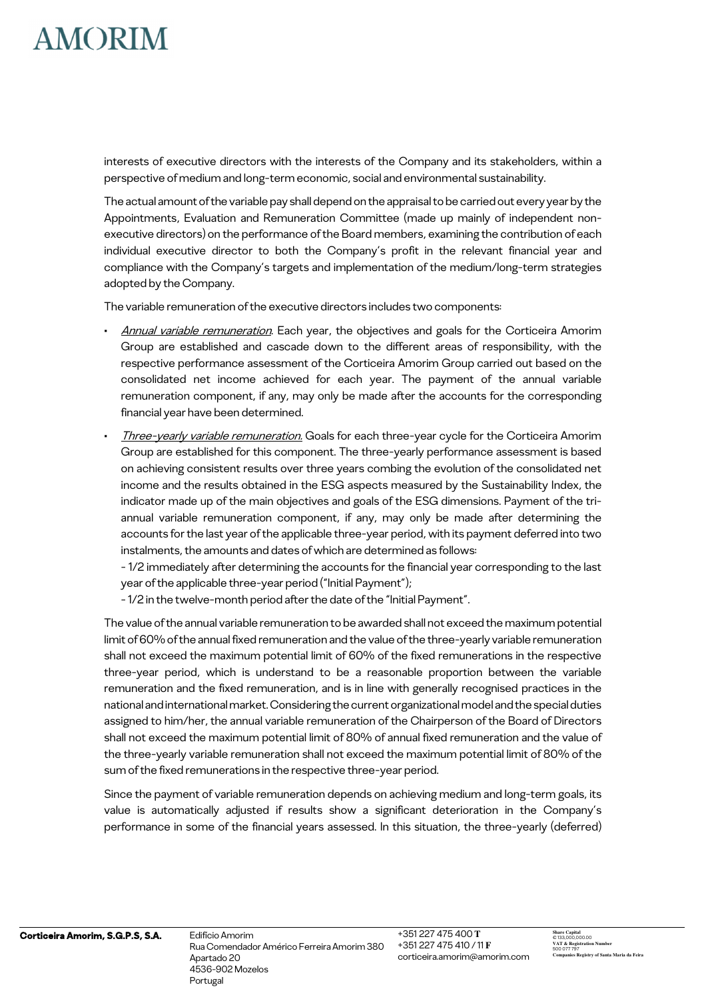interests of executive directors with the interests of the Company and its stakeholders, within a perspective of medium and long-term economic, social and environmental sustainability.

The actual amount of the variable pay shall depend on the appraisal to be carried out every year by the Appointments, Evaluation and Remuneration Committee (made up mainly of independent nonexecutive directors) on the performance of the Board members, examining the contribution of each individual executive director to both the Company's profit in the relevant financial year and compliance with the Company's targets and implementation of the medium/long-term strategies adopted by the Company.

The variable remuneration of the executive directors includes two components:

- Annual variable remuneration. Each year, the objectives and goals for the Corticeira Amorim Group are established and cascade down to the different areas of responsibility, with the respective performance assessment of the Corticeira Amorim Group carried out based on the consolidated net income achieved for each year. The payment of the annual variable remuneration component, if any, may only be made after the accounts for the corresponding financial year have been determined.
- Three-vearly variable remuneration. Goals for each three-vear cycle for the Corticeira Amorim Group are established for this component. The three-yearly performance assessment is based on achieving consistent results over three years combing the evolution of the consolidated net income and the results obtained in the ESG aspects measured by the Sustainability Index, the indicator made up of the main objectives and goals of the ESG dimensions. Payment of the triannual variable remuneration component, if any, may only be made after determining the accounts for the last year of the applicable three-year period, with its payment deferred into two instalments, the amounts and dates of which are determined as follows:

- 1/2 immediately after determining the accounts for the financial year corresponding to the last year of the applicable three-year period ("Initial Payment");

- 1/2 in the twelve-month period after the date of the "Initial Payment".

The value of the annual variable remuneration to be awarded shall not exceed the maximum potential limit of 60% of the annual fixed remuneration and the value of the three-yearly variable remuneration shall not exceed the maximum potential limit of 60% of the fixed remunerations in the respective three-year period, which is understand to be a reasonable proportion between the variable remuneration and the fixed remuneration, and is in line with generally recognised practices in the national and international market. Considering the current organizational model and the special duties assigned to him/her, the annual variable remuneration of the Chairperson of the Board of Directors shall not exceed the maximum potential limit of 80% of annual fixed remuneration and the value of the three-yearly variable remuneration shall not exceed the maximum potential limit of 80% of the sum of the fixed remunerations in the respective three-year period.

Since the payment of variable remuneration depends on achieving medium and long-term goals, its value is automatically adjusted if results show a significant deterioration in the Company's performance in some of the financial years assessed. In this situation, the three-yearly (deferred)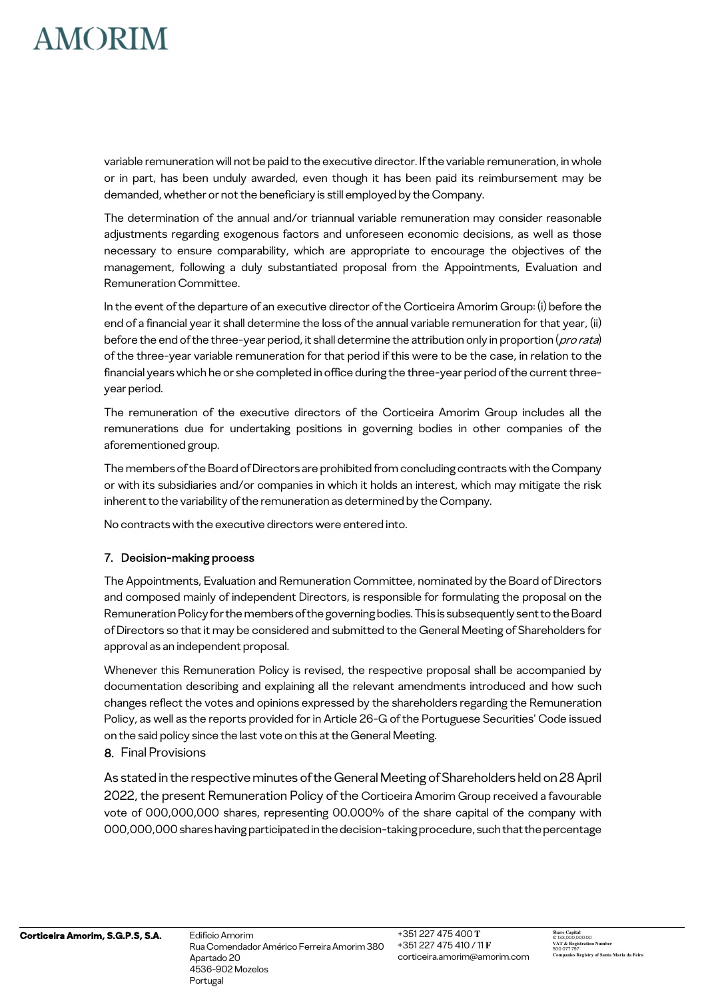variable remuneration will not be paid to the executive director. If the variable remuneration, in whole or in part, has been unduly awarded, even though it has been paid its reimbursement may be demanded, whether or not the beneficiary is still employed by the Company.

The determination of the annual and/or triannual variable remuneration may consider reasonable adjustments regarding exogenous factors and unforeseen economic decisions, as well as those necessary to ensure comparability, which are appropriate to encourage the objectives of the management, following a duly substantiated proposal from the Appointments, Evaluation and Remuneration Committee.

In the event of the departure of an executive director of the Corticeira Amorim Group: (i) before the end of a financial year it shall determine the loss of the annual variable remuneration for that year, (ii) before the end of the three-year period, it shall determine the attribution only in proportion (pro rata) of the three-year variable remuneration for that period if this were to be the case, in relation to the financial years which he or she completed in office during the three-year period of the current threeyear period.

The remuneration of the executive directors of the Corticeira Amorim Group includes all the remunerations due for undertaking positions in governing bodies in other companies of the aforementioned group.

The members of the Board of Directors are prohibited from concluding contracts with the Company or with its subsidiaries and/or companies in which it holds an interest, which may mitigate the risk inherent to the variability of the remuneration as determined by the Company.

No contracts with the executive directors were entered into.

### 7. Decision-making process

The Appointments, Evaluation and Remuneration Committee, nominated by the Board of Directors and composed mainly of independent Directors, is responsible for formulating the proposal on the Remuneration Policy for the members of the governing bodies. This is subsequently sent to the Board of Directors so that it may be considered and submitted to the General Meeting of Shareholders for approval as an independent proposal.

Whenever this Remuneration Policy is revised, the respective proposal shall be accompanied by documentation describing and explaining all the relevant amendments introduced and how such changes reflect the votes and opinions expressed by the shareholders regarding the Remuneration Policy, as well as the reports provided for in Article 26-G of the Portuguese Securities' Code issued on the said policy since the last vote on this at the General Meeting.

### 8. Final Provisions

As stated in the respective minutes of the General Meeting of Shareholders held on 28 April 2022, the present Remuneration Policy of the Corticeira Amorim Group received a favourable vote of 000,000,000 shares, representing 00.000% of the share capital of the company with 000,000,000 shares having participated in the decision-taking procedure, such that the percentage